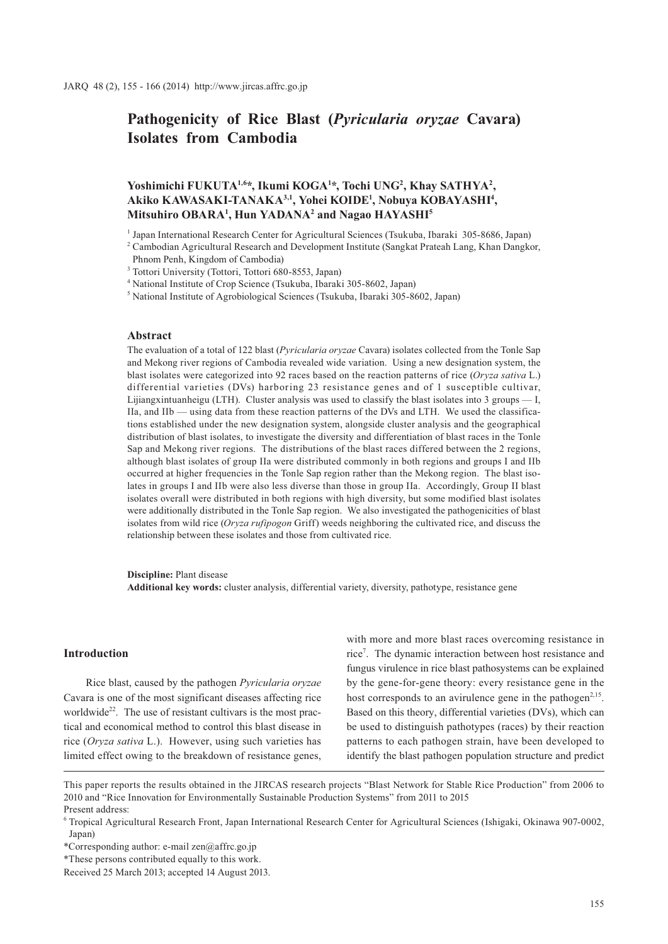# **Pathogenicity of Rice Blast (***Pyricularia oryzae* **Cavara) Isolates from Cambodia**

# Yoshimichi FUKUTA<sup>1,6\*</sup>, Ikumi KOGA<sup>1\*</sup>, Tochi UNG<sup>2</sup>, Khay SATHYA<sup>2</sup>, **Akiko KAWASAKI-TANAKA3,1, Yohei KOIDE1 , Nobuya KOBAYASHI4 , Mitsuhiro OBARA1 , Hun YADANA2 and Nagao HAYASHI5**

1 Japan International Research Center for Agricultural Sciences (Tsukuba, Ibaraki 305-8686, Japan)

<sup>2</sup> Cambodian Agricultural Research and Development Institute (Sangkat Prateah Lang, Khan Dangkor,

4 National Institute of Crop Science (Tsukuba, Ibaraki 305-8602, Japan)

5 National Institute of Agrobiological Sciences (Tsukuba, Ibaraki 305-8602, Japan)

### **Abstract**

The evaluation of a total of 122 blast (*Pyricularia oryzae* Cavara) isolates collected from the Tonle Sap and Mekong river regions of Cambodia revealed wide variation. Using a new designation system, the blast isolates were categorized into 92 races based on the reaction patterns of rice (*Oryza sativa* L.) differential varieties (DVs) harboring 23 resistance genes and of 1 susceptible cultivar, Lijiangxintuanheigu (LTH). Cluster analysis was used to classify the blast isolates into 3 groups — I, IIa, and IIb — using data from these reaction patterns of the DVs and LTH. We used the classifications established under the new designation system, alongside cluster analysis and the geographical distribution of blast isolates, to investigate the diversity and differentiation of blast races in the Tonle Sap and Mekong river regions. The distributions of the blast races differed between the 2 regions, although blast isolates of group IIa were distributed commonly in both regions and groups I and IIb occurred at higher frequencies in the Tonle Sap region rather than the Mekong region. The blast isolates in groups I and IIb were also less diverse than those in group IIa. Accordingly, Group II blast isolates overall were distributed in both regions with high diversity, but some modified blast isolates were additionally distributed in the Tonle Sap region. We also investigated the pathogenicities of blast isolates from wild rice (*Oryza rufipogon* Griff) weeds neighboring the cultivated rice, and discuss the relationship between these isolates and those from cultivated rice.

**Discipline:** Plant disease

**Additional key words:** cluster analysis, differential variety, diversity, pathotype, resistance gene

#### **Introduction**

Rice blast, caused by the pathogen *Pyricularia oryzae* Cavara is one of the most significant diseases affecting rice worldwide<sup>22</sup>. The use of resistant cultivars is the most practical and economical method to control this blast disease in rice (*Oryza sativa* L.). However, using such varieties has limited effect owing to the breakdown of resistance genes,

with more and more blast races overcoming resistance in rice7 . The dynamic interaction between host resistance and fungus virulence in rice blast pathosystems can be explained by the gene-for-gene theory: every resistance gene in the host corresponds to an avirulence gene in the pathogen<sup>2,15</sup>. Based on this theory, differential varieties (DVs), which can be used to distinguish pathotypes (races) by their reaction patterns to each pathogen strain, have been developed to identify the blast pathogen population structure and predict

Phnom Penh, Kingdom of Cambodia)

<sup>3</sup> Tottori University (Tottori, Tottori 680-8553, Japan)

This paper reports the results obtained in the JIRCAS research projects "Blast Network for Stable Rice Production" from 2006 to 2010 and "Rice Innovation for Environmentally Sustainable Production Systems" from 2011 to 2015 Present address:

<sup>6</sup> Tropical Agricultural Research Front, Japan International Research Center for Agricultural Sciences (Ishigaki, Okinawa 907-0002, Japan)

<sup>\*</sup>Corresponding author: e-mail zen@affrc.go.jp

<sup>\*</sup>These persons contributed equally to this work.

Received 25 March 2013; accepted 14 August 2013.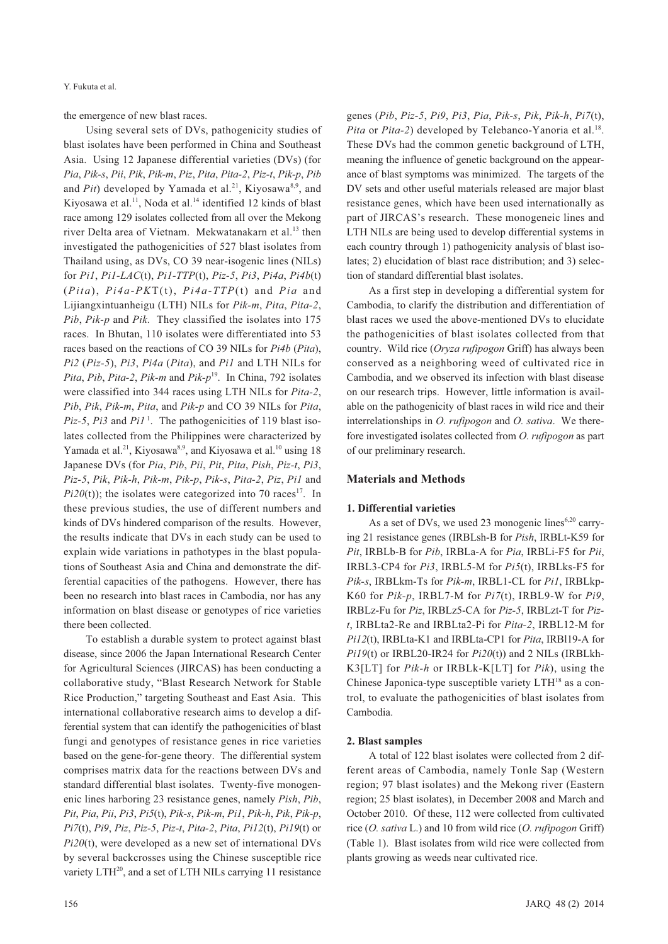the emergence of new blast races.

Using several sets of DVs, pathogenicity studies of blast isolates have been performed in China and Southeast Asia. Using 12 Japanese differential varieties (DVs) (for *Pia*, *Pik-s*, *Pii*, *Pik*, *Pik-m*, *Piz*, *Pita*, *Pita-2*, *Piz-t*, *Pik-p*, *Pib* and *Pit*) developed by Yamada et al.<sup>21</sup>, Kiyosawa<sup>8,9</sup>, and Kiyosawa et al.<sup>11</sup>, Noda et al.<sup>14</sup> identified 12 kinds of blast race among 129 isolates collected from all over the Mekong river Delta area of Vietnam. Mekwatanakarn et al.<sup>13</sup> then investigated the pathogenicities of 527 blast isolates from Thailand using, as DVs, CO 39 near-isogenic lines (NILs) for *Pi1*, *Pi1-LAC*(t), *Pi1-TTP*(t), *Piz-5*, *Pi3*, *Pi4a*, *Pi4b*(t) (*Pita*), *Pi4a-PK*T(t), *Pi4a-TTP*(t) and *Pia* and Lijiangxintuanheigu (LTH) NILs for *Pik-m*, *Pita*, *Pita-2*, *Pib*, *Pik-p* and *Pik.* They classified the isolates into 175 races. In Bhutan, 110 isolates were differentiated into 53 races based on the reactions of CO 39 NILs for *Pi4b* (*Pita*), *Pi2* (*Piz-5*), *Pi3*, *Pi4a* (*Pita*), and *Pi1* and LTH NILs for *Pita*, *Pib*, *Pita-2*, *Pik-m* and *Pik-p*19. In China, 792 isolates were classified into 344 races using LTH NILs for *Pita-2*, *Pib*, *Pik*, *Pik-m*, *Pita*, and *Pik-p* and CO 39 NILs for *Pita*, *Piz-5*, *Pi3* and *Pi1*<sup> $1$ </sup>. The pathogenicities of 119 blast isolates collected from the Philippines were characterized by Yamada et al.<sup>21</sup>, Kiyosawa<sup>8,9</sup>, and Kiyosawa et al.<sup>10</sup> using 18 Japanese DVs (for *Pia*, *Pib*, *Pii*, *Pit*, *Pita*, *Pish*, *Piz-t*, *Pi3*, *Piz-5*, *Pik*, *Pik-h*, *Pik-m*, *Pik-p*, *Pik-s*, *Pita-2*, *Piz*, *Pi1* and  $Pi20(t)$ ; the isolates were categorized into 70 races<sup>17</sup>. In these previous studies, the use of different numbers and kinds of DVs hindered comparison of the results. However, the results indicate that DVs in each study can be used to explain wide variations in pathotypes in the blast populations of Southeast Asia and China and demonstrate the differential capacities of the pathogens. However, there has been no research into blast races in Cambodia, nor has any information on blast disease or genotypes of rice varieties there been collected.

To establish a durable system to protect against blast disease, since 2006 the Japan International Research Center for Agricultural Sciences (JIRCAS) has been conducting a collaborative study, "Blast Research Network for Stable Rice Production," targeting Southeast and East Asia. This international collaborative research aims to develop a differential system that can identify the pathogenicities of blast fungi and genotypes of resistance genes in rice varieties based on the gene-for-gene theory. The differential system comprises matrix data for the reactions between DVs and standard differential blast isolates. Twenty-five monogenenic lines harboring 23 resistance genes, namely *Pish*, *Pib*, *Pit*, *Pia*, *Pii*, *Pi3*, *Pi5*(t), *Pik-s*, *Pik-m*, *Pi1*, *Pik-h*, *Pik*, *Pik-p*, *Pi7*(t), *Pi9*, *Piz*, *Piz-5*, *Piz-t*, *Pita-2*, *Pita*, *Pi12*(t), *Pi19*(t) or *Pi20*(t), were developed as a new set of international DVs by several backcrosses using the Chinese susceptible rice variety LTH<sup>20</sup>, and a set of LTH NILs carrying 11 resistance

genes (*Pib*, *Piz-5*, *Pi9*, *Pi3*, *Pia*, *Pik-s*, *Pik*, *Pik-h*, *Pi7*(t), *Pita* or *Pita-2*) developed by Telebanco-Yanoria et al.<sup>18</sup>. These DVs had the common genetic background of LTH, meaning the influence of genetic background on the appearance of blast symptoms was minimized. The targets of the DV sets and other useful materials released are major blast resistance genes, which have been used internationally as part of JIRCAS's research. These monogeneic lines and LTH NILs are being used to develop differential systems in each country through 1) pathogenicity analysis of blast isolates; 2) elucidation of blast race distribution; and 3) selection of standard differential blast isolates.

As a first step in developing a differential system for Cambodia, to clarify the distribution and differentiation of blast races we used the above-mentioned DVs to elucidate the pathogenicities of blast isolates collected from that country. Wild rice (*Oryza rufipogon* Griff) has always been conserved as a neighboring weed of cultivated rice in Cambodia, and we observed its infection with blast disease on our research trips. However, little information is available on the pathogenicity of blast races in wild rice and their interrelationships in *O. rufipogon* and *O. sativa*. We therefore investigated isolates collected from *O. rufipogon* as part of our preliminary research.

#### **Materials and Methods**

#### **1. Differential varieties**

As a set of DVs, we used 23 monogenic lines<sup>6,20</sup> carrying 21 resistance genes (IRBLsh-B for *Pish*, IRBLt-K59 for *Pit*, IRBLb-B for *Pib*, IRBLa-A for *Pia*, IRBLi-F5 for *Pii*, IRBL3-CP4 for *Pi3*, IRBL5-M for *Pi5*(t), IRBLks-F5 for *Pik-s*, IRBLkm-Ts for *Pik-m*, IRBL1-CL for *Pi1*, IRBLkp-K60 for *Pik-p*, IRBL7-M for *Pi7*(t), IRBL9-W for *Pi9*, IRBLz-Fu for *Piz*, IRBLz5-CA for *Piz-5*, IRBLzt-T for *Pizt*, IRBLta2-Re and IRBLta2-Pi for *Pita-2*, IRBL12-M for *Pi12*(t), IRBLta-K1 and IRBLta-CP1 for *Pita*, IRBl19-A for *Pi19*(t) or IRBL20-IR24 for *Pi20*(t)) and 2 NILs (IRBLkh-K3[LT] for *Pik-h* or IRBLk-K[LT] for *Pik*), using the Chinese Japonica-type susceptible variety  $LTH^{18}$  as a control, to evaluate the pathogenicities of blast isolates from Cambodia.

#### **2. Blast samples**

A total of 122 blast isolates were collected from 2 different areas of Cambodia, namely Tonle Sap (Western region; 97 blast isolates) and the Mekong river (Eastern region; 25 blast isolates), in December 2008 and March and October 2010. Of these, 112 were collected from cultivated rice (*O. sativa* L.) and 10 from wild rice (*O. rufipogon* Griff) (Table 1). Blast isolates from wild rice were collected from plants growing as weeds near cultivated rice.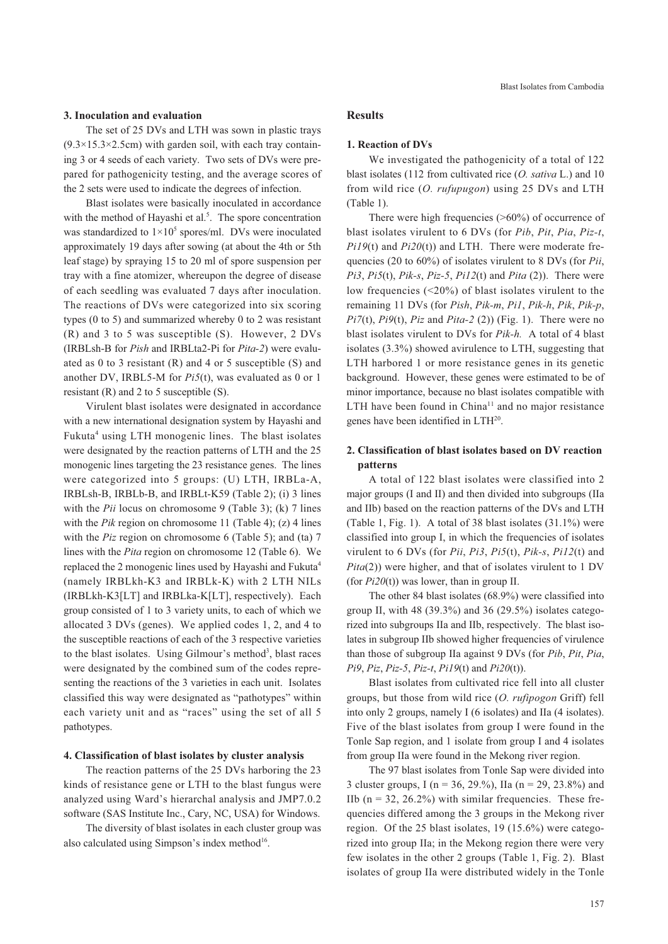#### **3. Inoculation and evaluation**

The set of 25 DVs and LTH was sown in plastic trays  $(9.3\times15.3\times2.5cm)$  with garden soil, with each tray containing 3 or 4 seeds of each variety. Two sets of DVs were prepared for pathogenicity testing, and the average scores of the 2 sets were used to indicate the degrees of infection.

Blast isolates were basically inoculated in accordance with the method of Hayashi et al.<sup>5</sup>. The spore concentration was standardized to  $1 \times 10^5$  spores/ml. DVs were inoculated approximately 19 days after sowing (at about the 4th or 5th leaf stage) by spraying 15 to 20 ml of spore suspension per tray with a fine atomizer, whereupon the degree of disease of each seedling was evaluated 7 days after inoculation. The reactions of DVs were categorized into six scoring types (0 to 5) and summarized whereby 0 to 2 was resistant (R) and 3 to 5 was susceptible (S). However, 2 DVs (IRBLsh-B for *Pish* and IRBLta2-Pi for *Pita-2*) were evaluated as 0 to 3 resistant (R) and 4 or 5 susceptible (S) and another DV, IRBL5-M for *Pi5*(t), was evaluated as 0 or 1 resistant (R) and 2 to 5 susceptible (S).

Virulent blast isolates were designated in accordance with a new international designation system by Hayashi and Fukuta<sup>4</sup> using LTH monogenic lines. The blast isolates were designated by the reaction patterns of LTH and the 25 monogenic lines targeting the 23 resistance genes. The lines were categorized into 5 groups: (U) LTH, IRBLa-A, IRBLsh-B, IRBLb-B, and IRBLt-K59 (Table 2); (i) 3 lines with the *Pii* locus on chromosome 9 (Table 3); (k) 7 lines with the *Pik* region on chromosome 11 (Table 4); (z) 4 lines with the *Piz* region on chromosome 6 (Table 5); and (ta) 7 lines with the *Pita* region on chromosome 12 (Table 6). We replaced the 2 monogenic lines used by Hayashi and Fukuta<sup>4</sup> (namely IRBLkh-K3 and IRBLk-K) with 2 LTH NILs (IRBLkh-K3[LT] and IRBLka-K[LT], respectively). Each group consisted of 1 to 3 variety units, to each of which we allocated 3 DVs (genes). We applied codes 1, 2, and 4 to the susceptible reactions of each of the 3 respective varieties to the blast isolates. Using Gilmour's method<sup>3</sup>, blast races were designated by the combined sum of the codes representing the reactions of the 3 varieties in each unit. Isolates classified this way were designated as "pathotypes" within each variety unit and as "races" using the set of all 5 pathotypes.

#### **4. Classification of blast isolates by cluster analysis**

The reaction patterns of the 25 DVs harboring the 23 kinds of resistance gene or LTH to the blast fungus were analyzed using Ward's hierarchal analysis and JMP7.0.2 software (SAS Institute Inc., Cary, NC, USA) for Windows.

The diversity of blast isolates in each cluster group was also calculated using Simpson's index method $16$ .

# **Results**

#### **1. Reaction of DVs**

We investigated the pathogenicity of a total of 122 blast isolates (112 from cultivated rice (*O. sativa* L.) and 10 from wild rice (*O. rufupugon*) using 25 DVs and LTH (Table 1).

There were high frequencies  $($ >60%) of occurrence of blast isolates virulent to 6 DVs (for *Pib*, *Pit*, *Pia*, *Piz-t*, *Pi19*(t) and *Pi20*(t)) and LTH. There were moderate frequencies (20 to 60%) of isolates virulent to 8 DVs (for *Pii*, *Pi3*, *Pi5*(t), *Pik-s*, *Piz-5*, *Pi12*(t) and *Pita* (2)). There were low frequencies (<20%) of blast isolates virulent to the remaining 11 DVs (for *Pish*, *Pik-m*, *Pi1*, *Pik-h*, *Pik*, *Pik-p*, *Pi7*(t), *Pi9*(t), *Piz* and *Pita-2* (2)) (Fig. 1). There were no blast isolates virulent to DVs for *Pik-h.* A total of 4 blast isolates (3.3%) showed avirulence to LTH, suggesting that LTH harbored 1 or more resistance genes in its genetic background. However, these genes were estimated to be of minor importance, because no blast isolates compatible with LTH have been found in  $China<sup>11</sup>$  and no major resistance genes have been identified in  $LTH<sup>20</sup>$ .

# **2. Classification of blast isolates based on DV reaction patterns**

A total of 122 blast isolates were classified into 2 major groups (I and II) and then divided into subgroups (IIa and IIb) based on the reaction patterns of the DVs and LTH (Table 1, Fig. 1). A total of 38 blast isolates (31.1%) were classified into group I, in which the frequencies of isolates virulent to 6 DVs (for *Pii*, *Pi3*, *Pi5*(t), *Pik-s*, *Pi12*(t) and *Pita*(2)) were higher, and that of isolates virulent to 1 DV (for *Pi20*(t)) was lower, than in group II.

The other 84 blast isolates (68.9%) were classified into group II, with 48 (39.3%) and 36 (29.5%) isolates categorized into subgroups IIa and IIb, respectively. The blast isolates in subgroup IIb showed higher frequencies of virulence than those of subgroup IIa against 9 DVs (for *Pib*, *Pit*, *Pia*, *Pi9*, *Piz*, *Piz-5*, *Piz-t*, *Pi19*(t) and *Pi20*(t)).

Blast isolates from cultivated rice fell into all cluster groups, but those from wild rice (*O. rufipogon* Griff) fell into only 2 groups, namely I (6 isolates) and IIa (4 isolates). Five of the blast isolates from group I were found in the Tonle Sap region, and 1 isolate from group I and 4 isolates from group IIa were found in the Mekong river region.

The 97 blast isolates from Tonle Sap were divided into 3 cluster groups, I ( $n = 36, 29.%$ ), IIa ( $n = 29, 23.8%$ ) and IIb  $(n = 32, 26.2\%)$  with similar frequencies. These frequencies differed among the 3 groups in the Mekong river region. Of the 25 blast isolates, 19 (15.6%) were categorized into group IIa; in the Mekong region there were very few isolates in the other 2 groups (Table 1, Fig. 2). Blast isolates of group IIa were distributed widely in the Tonle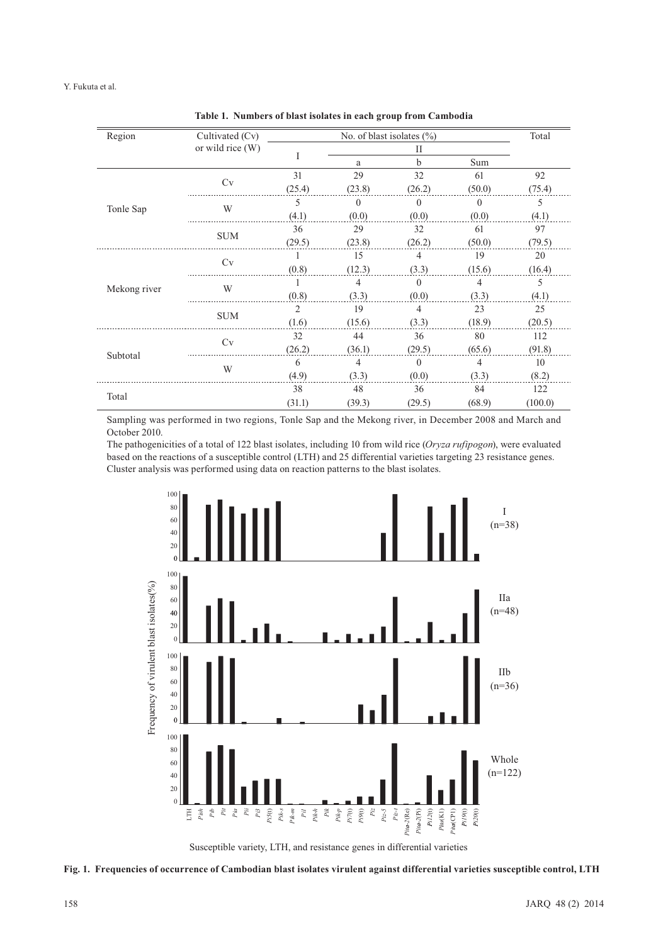| Region       | Cultivated (Cv)  |                |          | No. of blast isolates $(\% )$ |              | Total   |
|--------------|------------------|----------------|----------|-------------------------------|--------------|---------|
|              | or wild rice (W) |                |          | П                             |              |         |
|              |                  | I              | a        | $\mathbf b$                   | Sum          |         |
|              | Cv               | 31             | 29       | 32                            | 61           | 92      |
|              |                  | (25.4)         | (23.8)   | (26.2)                        | (50.0)       | (75.4)  |
|              | W                | 5              | $\Omega$ | $\theta$                      | $\mathbf{0}$ | 5       |
| Tonle Sap    |                  | (4.1)          | (0.0)    | (0.0)                         | (0.0)        | (4.1)   |
|              |                  | 36             | 29       | 32                            | 61           | 97      |
|              | <b>SUM</b>       | (29.5)         | (23.8)   | (26.2)                        | (50.0)       | (79.5)  |
|              | Cv               |                | 15       | 4                             | 19           | 20      |
|              |                  | (0.8)          | (12.3)   | (3.3)                         | (15.6)       | (16.4)  |
|              | W                |                | 4        | $\Omega$                      | 4            | 5       |
| Mekong river |                  | (0.8)          | (3.3)    | (0.0)                         | (3.3)        | (4.1)   |
|              | <b>SUM</b>       | $\overline{2}$ | 19       | $\overline{4}$                | 23           | 25      |
|              |                  | (1.6)          | (15.6)   | (3.3)                         | (18.9)       | (20.5)  |
|              | Cv               | 32             | 44       | 36                            | 80           | 112     |
| Subtotal     |                  | (26.2)         | (36.1)   | (29.5)                        | (65.6)       | (91.8)  |
|              | W                | 6              | 4        | $\Omega$                      | 4            | 10      |
|              |                  | (4.9)          | (3.3)    | (0.0)                         | (3.3)        | (8.2)   |
|              |                  | 38             | 48       | 36                            | 84           | 122     |
| Total        |                  | (31.1)         | (39.3)   | (29.5)                        | (68.9)       | (100.0) |

**Table 1. Numbers of blast isolates in each group from Cambodia**

Sampling was performed in two regions, Tonle Sap and the Mekong river, in December 2008 and March and October 2010.

The pathogenicities of a total of 122 blast isolates, including 10 from wild rice (*Oryza rufipogon*), were evaluated based on the reactions of a susceptible control (LTH) and 25 differential varieties targeting 23 resistance genes. Cluster analysis was performed using data on reaction patterns to the blast isolates.



Susceptible variety, LTH, and resistance genes in differential varieties

**Fig. 1. Frequencies of occurrence of Cambodian blast isolates virulent against differential varieties susceptible control, LTH**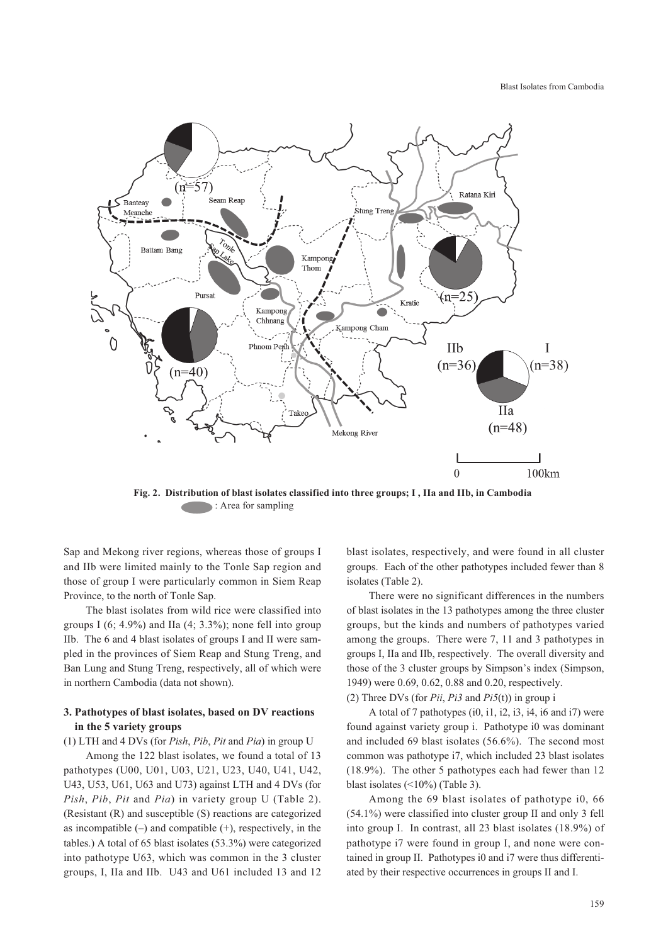Blast Isolates from Cambodia



**Fig. 2. Distribution of blast isolates classified into three groups; I , IIa and IIb, in Cambodia** : Area for sampling

Sap and Mekong river regions, whereas those of groups I and IIb were limited mainly to the Tonle Sap region and those of group I were particularly common in Siem Reap Province, to the north of Tonle Sap.

The blast isolates from wild rice were classified into groups I  $(6; 4.9\%)$  and IIa  $(4; 3.3\%)$ ; none fell into group IIb. The 6 and 4 blast isolates of groups I and II were sampled in the provinces of Siem Reap and Stung Treng, and Ban Lung and Stung Treng, respectively, all of which were in northern Cambodia (data not shown).

# **3. Pathotypes of blast isolates, based on DV reactions in the 5 variety groups**

(1) LTH and 4 DVs (for *Pish*, *Pib*, *Pit* and *Pia*) in group U

Among the 122 blast isolates, we found a total of 13 pathotypes (U00, U01, U03, U21, U23, U40, U41, U42, U43, U53, U61, U63 and U73) against LTH and 4 DVs (for *Pish*, *Pib*, *Pit* and *Pia*) in variety group U (Table 2). (Resistant (R) and susceptible (S) reactions are categorized as incompatible  $(-)$  and compatible  $(+)$ , respectively, in the tables.) A total of 65 blast isolates (53.3%) were categorized into pathotype U63, which was common in the 3 cluster groups, I, IIa and IIb. U43 and U61 included 13 and 12 blast isolates, respectively, and were found in all cluster groups. Each of the other pathotypes included fewer than 8 isolates (Table 2).

There were no significant differences in the numbers of blast isolates in the 13 pathotypes among the three cluster groups, but the kinds and numbers of pathotypes varied among the groups. There were 7, 11 and 3 pathotypes in groups I, IIa and IIb, respectively. The overall diversity and those of the 3 cluster groups by Simpson's index (Simpson, 1949) were 0.69, 0.62, 0.88 and 0.20, respectively.

(2) Three DVs (for *Pii*, *Pi3* and *Pi5*(t)) in group i

A total of 7 pathotypes (i0, i1, i2, i3, i4, i6 and i7) were found against variety group i. Pathotype i0 was dominant and included 69 blast isolates (56.6%). The second most common was pathotype i7, which included 23 blast isolates (18.9%). The other 5 pathotypes each had fewer than 12 blast isolates (<10%) (Table 3).

Among the 69 blast isolates of pathotype i0, 66 (54.1%) were classified into cluster group II and only 3 fell into group I. In contrast, all 23 blast isolates (18.9%) of pathotype i7 were found in group I, and none were contained in group II. Pathotypes i0 and i7 were thus differentiated by their respective occurrences in groups II and I.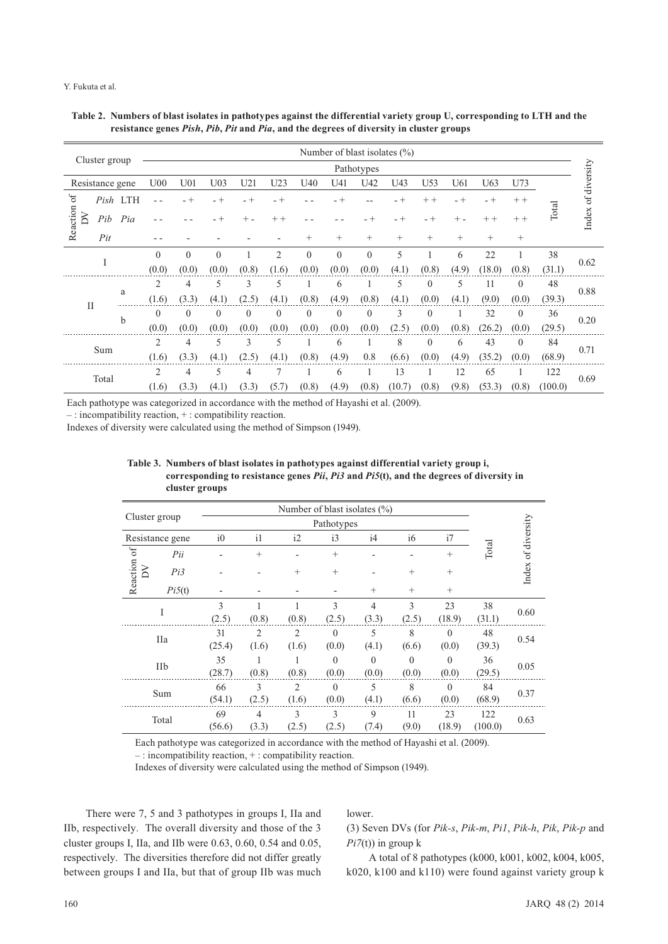#### Y. Fukuta et al.

|               |                 |          |                 |                 |                 |          |          |                |              |              | Number of blast isolates $(\% )$ |                 |        |        |          |         |                    |
|---------------|-----------------|----------|-----------------|-----------------|-----------------|----------|----------|----------------|--------------|--------------|----------------------------------|-----------------|--------|--------|----------|---------|--------------------|
|               | Cluster group   |          |                 |                 |                 |          |          |                |              | Pathotypes   |                                  |                 |        |        |          |         |                    |
|               | Resistance gene |          | U <sub>00</sub> | U <sub>01</sub> | U <sub>03</sub> | U21      | U23      | U40            | U41          | U42          | U43                              | U <sub>53</sub> | U61    | U63    | U73      |         |                    |
| 6f            |                 | Pish LTH |                 | $-+$            | $- +$           | $- +$    | - +      |                | - +          |              | $- +$                            | $++$            | - +    | $- +$  | $++$     |         | Index of diversity |
| Reaction<br>Σ | Pib             | Pia      |                 |                 | $- +$           |          | $++$     |                |              | - +          | $- +$                            | - +             | $^{+}$ | $++$   | $++$     | Total   |                    |
|               | Pit             |          |                 |                 |                 |          |          | $^{+}$         | $^{+}$       | $^{+}$       | $^{+}$                           | $^{+}$          | $^{+}$ | $^{+}$ | $+$      |         |                    |
|               | I               |          | $\theta$        | $\theta$        | $\theta$        |          | 2        | $\overline{0}$ | $\theta$     | $\mathbf{0}$ | 5                                |                 | 6      | 22     |          | 38      | 0.62               |
|               |                 |          | (0.0)           | (0.0)           | (0.0)           | (0.8)    | (1.6)    | (0.0)          | (0.0)        | (0.0)        | (4.1                             | (0.8)           | (4.9)  | (18.0) | (0.8)    | (31.1)  |                    |
|               |                 | a        | $\overline{2}$  | 4               | 5               | 3        | 5        |                | 6            |              | 5                                | $\theta$        | 5      | 11     | $\theta$ | 48      | 0.88               |
| $\mathbf{I}$  |                 |          | (1.6)           | (3.3)           | (4.1)           | (2.5)    | (4.1)    | (0.8)          | (4.9)        | (0.8)        | (4.1)                            | (0.0)           | (4.1)  | (9.0)  | (0.0)    | (39.3)  |                    |
|               |                 | b        | $\theta$        | $\Omega$        | $\theta$        | $\Omega$ | $\Omega$ | $\mathbf{0}$   | $\mathbf{0}$ | $\theta$     | 3                                | $\theta$        |        | 32     | $\theta$ | 36      | 0.20               |
|               |                 |          | (0.0)           | (0.0)           | (0.0)           | (0.0)    | (0.0)    | (0.0)          | (0.0)        | (0.0)        | (2.5)                            | (0.0)           | (0.8)  | (26.2) | (0.0)    | (29.5)  |                    |
|               | Sum             |          | 2               | 4               | 5               | 3        | 5        |                | 6            | -1           | 8                                | $\Omega$        | 6      | 43     | $\theta$ | 84      | 0.71               |
|               |                 |          | (1.6)           | (3.3)           | (4.1)           | (2.5)    | (4.1)    | (0.8)          | (4.9)        | 0.8          | (6.6)                            | (0.0)           | (4.9)  | (35.2) | (0.0)    | (68.9)  |                    |
|               | Total           |          | $\overline{2}$  | 4               | 5               | 4        | 7        |                | 6            |              | 13                               |                 | 12     | 65     |          | 122     | 0.69               |
|               |                 |          | (1.6)           | (3.3)           | (4.1)           | (3.3)    | (5.7)    | (0.8)          | (4.9)        | (0.8)        | (10.7)                           | (0.8)           | (9.8)  | (53.3) | (0.8)    | (100.0) |                    |

| Table 2. Numbers of blast isolates in pathotypes against the differential variety group U, corresponding to LTH and the |
|-------------------------------------------------------------------------------------------------------------------------|
| resistance genes Pish, Pib, Pit and Pia, and the degrees of diversity in cluster groups                                 |

Each pathotype was categorized in accordance with the method of Hayashi et al. (2009).

– : incompatibility reaction, + : compatibility reaction.

Indexes of diversity were calculated using the method of Simpson (1949).

|                   | ciustel groups  |        |                |                |                                  |                |          |          |         |                    |
|-------------------|-----------------|--------|----------------|----------------|----------------------------------|----------------|----------|----------|---------|--------------------|
|                   |                 |        |                |                | Number of blast isolates $(\% )$ |                |          |          |         |                    |
| Cluster group     |                 |        |                |                | Pathotypes                       |                |          |          |         |                    |
|                   | Resistance gene | i0     | i1             | i2             | i3                               | i4             | i6       | i7       |         |                    |
|                   | Pii             |        | $^{+}$         |                | $^{+}$                           |                |          | $^{+}$   | Total   |                    |
| Reaction of<br>ΣŇ | Pi3             |        |                | $^{+}$         | $^{+}$                           |                | $^{+}$   | $^{+}$   |         | Index of diversity |
|                   | Pi5(t)          |        |                |                |                                  | $^{+}$         | $^{+}$   | $^{+}$   |         |                    |
|                   | I               | 3      |                |                | 3                                | $\overline{4}$ | 3        | 23       | 38      | 0.60               |
|                   |                 | (2.5)  | (0.8)          | (0.8)          | (2.5)                            | (3.3)          | (2.5)    | (18.9)   | (31.1)  |                    |
|                   |                 | 31     | $\overline{2}$ | $\overline{2}$ | $\theta$                         | 5              | 8        | $\theta$ | 48      |                    |
|                   | IIa             | (25.4) | (1.6)          | (1.6)          | (0.0)                            | (4.1)          | (6.6)    | (0.0)    | (39.3)  | 0.54               |
|                   |                 | 35     |                |                | $\Omega$                         | $\Omega$       | $\Omega$ | $\Omega$ | 36      |                    |
|                   | IIb             | (28.7) | (0.8)          | (0.8)          | (0.0)                            | (0.0)          | (0.0)    | (0.0)    | (29.5)  | 0.05               |
|                   |                 | 66     | 3              | $\overline{2}$ | $\Omega$                         | 5              | 8        | $\Omega$ | 84      |                    |
|                   | Sum             | (54.1) | (2.5)          | (1.6)          | (0.0)                            | (4.1)          | (6.6)    | (0.0)    | (68.9)  | 0.37               |
|                   |                 | 69     | 4              | 3              | 3                                | 9              | 11       | 23       | 122     |                    |
|                   | Total           | (56.6) | (3.3)          | (2.5)          | (2.5)                            | (7.4)          | (9.0)    | (18.9)   | (100.0) | 0.63               |

**Table 3. Numbers of blast isolates in pathotypes against differential variety group i, corresponding to resistance genes** *Pii***,** *Pi3* **and** *Pi5***(t), and the degrees of diversity in cluster groups**

Each pathotype was categorized in accordance with the method of Hayashi et al. (2009).

– : incompatibility reaction, + : compatibility reaction.

Indexes of diversity were calculated using the method of Simpson (1949).

There were 7, 5 and 3 pathotypes in groups I, IIa and IIb, respectively. The overall diversity and those of the 3 cluster groups I, IIa, and IIb were 0.63, 0.60, 0.54 and 0.05, respectively. The diversities therefore did not differ greatly between groups I and IIa, but that of group IIb was much

lower.

(3) Seven DVs (for *Pik-s*, *Pik-m*, *Pi1*, *Pik-h*, *Pik*, *Pik-p* and *Pi7*(t)) in group k

A total of 8 pathotypes (k000, k001, k002, k004, k005, k020, k100 and k110) were found against variety group k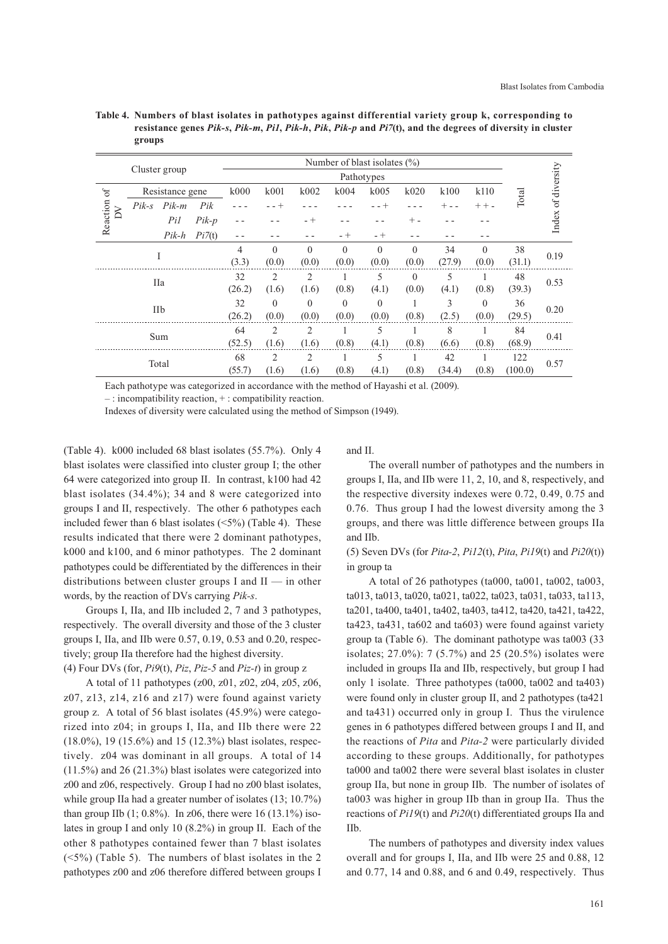|          |         |                 |         |        |                |                | Number of blast isolates $(\% )$ |            |                |        |          |         |                    |
|----------|---------|-----------------|---------|--------|----------------|----------------|----------------------------------|------------|----------------|--------|----------|---------|--------------------|
|          |         | Cluster group   |         |        |                |                |                                  | Pathotypes |                |        |          |         | Index of diversity |
| $\sigma$ |         | Resistance gene |         | k000   | k001           | k002           | k004                             | k005       | k020           | k100   | k110     | Total   |                    |
| δ        | $Pik-s$ | $Pik-m$         | Pik     |        | - - +          |                |                                  | - - +      |                |        | $++-$    |         |                    |
| Reaction |         | Pil             | $Pik-p$ | -      |                | $- +$          |                                  |            | $+$ -          |        |          |         |                    |
|          |         | $Pik-h$         | Pi7(t)  |        |                |                | $- +$                            | - +        |                |        |          |         |                    |
|          |         | I               |         | 4      | $\theta$       | $\Omega$       | $\Omega$                         | $\theta$   | $\theta$       | 34     | $\theta$ | 38      | 0.19               |
|          |         |                 |         | (3.3)  | (0.0)          | (0.0)          | (0.0)                            | (0.0)      | (0.0)          | (27.9) | (0.0)    | (31.1)  |                    |
|          |         | IIa             |         | 32     | 2              | 2              |                                  | 5          | $\overline{0}$ | 5      |          | 48      | 0.53               |
|          |         |                 |         | (26.2) | (1.6)          | (1.6)          | (0.8)                            | (4.1)      | (0.0)          | (4.1)  | (0.8)    | (39.3)  |                    |
|          |         | IIb             |         | 32     | $\mathbf{0}$   | $\theta$       | $\theta$                         | $\theta$   | ٠              | 3      | $\theta$ | 36      | 0.20               |
|          |         |                 |         | (26.2) | (0.0)          | (0.0)          | (0.0)                            | (0.0)      | (0.8)          | (2.5)  | (0.0)    | (29.5)  |                    |
|          |         | Sum             |         | 64     | $\overline{2}$ | $\overline{2}$ |                                  | 5          |                | 8      | 1        | 84      | 0.41               |
|          |         |                 |         | (52.5) | (1.6)          | (1.6)          | (0.8)                            | (4.1)      | (0.8)          | (6.6)  | (0.8)    | (68.9)  |                    |
|          |         | Total           |         | 68     | 2              | $\overline{2}$ | J.                               | 5          | 1              | 42     | 1        | 122     | 0.57               |
|          |         |                 |         | (55.7) | (1.6)          | (1.6)          | (0.8)                            | (4.1)      | (0.8)          | (34.4) | (0.8)    | (100.0) |                    |

**Table 4. Numbers of blast isolates in pathotypes against differential variety group k, corresponding to resistance genes** *Pik-s***,** *Pik-m***,** *Pi1***,** *Pik-h***,** *Pik***,** *Pik-p* **and** *Pi7***(t), and the degrees of diversity in cluster groups**

Each pathotype was categorized in accordance with the method of Hayashi et al. (2009).

– : incompatibility reaction, + : compatibility reaction.

Indexes of diversity were calculated using the method of Simpson (1949).

(Table 4). k000 included 68 blast isolates (55.7%). Only 4 blast isolates were classified into cluster group I; the other 64 were categorized into group II. In contrast, k100 had 42 blast isolates (34.4%); 34 and 8 were categorized into groups I and II, respectively. The other 6 pathotypes each included fewer than 6 blast isolates  $(\leq 5\%)$  (Table 4). These results indicated that there were 2 dominant pathotypes, k000 and k100, and 6 minor pathotypes. The 2 dominant pathotypes could be differentiated by the differences in their distributions between cluster groups I and II — in other words, by the reaction of DVs carrying *Pik-s*.

Groups I, IIa, and IIb included 2, 7 and 3 pathotypes, respectively. The overall diversity and those of the 3 cluster groups I, IIa, and IIb were 0.57, 0.19, 0.53 and 0.20, respectively; group IIa therefore had the highest diversity. (4) Four DVs (for, *Pi9*(t), *Piz*, *Piz-5* and *Piz-t*) in group z

A total of 11 pathotypes (z00, z01, z02, z04, z05, z06, z07, z13, z14, z16 and z17) were found against variety group z. A total of 56 blast isolates (45.9%) were categorized into z04; in groups I, IIa, and IIb there were 22 (18.0%), 19 (15.6%) and 15 (12.3%) blast isolates, respectively. z04 was dominant in all groups. A total of 14 (11.5%) and 26 (21.3%) blast isolates were categorized into z00 and z06, respectively. Group I had no z00 blast isolates, while group IIa had a greater number of isolates (13; 10.7%) than group IIb  $(1; 0.8\%)$ . In z06, there were 16  $(13.1\%)$  isolates in group I and only 10 (8.2%) in group II. Each of the other 8 pathotypes contained fewer than 7 blast isolates  $(\leq 5\%)$  (Table 5). The numbers of blast isolates in the 2 pathotypes z00 and z06 therefore differed between groups I

and II.

The overall number of pathotypes and the numbers in groups I, IIa, and IIb were 11, 2, 10, and 8, respectively, and the respective diversity indexes were 0.72, 0.49, 0.75 and 0.76. Thus group I had the lowest diversity among the 3 groups, and there was little difference between groups IIa and IIb.

(5) Seven DVs (for *Pita-2*, *Pi12*(t), *Pita*, *Pi19*(t) and *Pi20*(t)) in group ta

A total of 26 pathotypes (ta000, ta001, ta002, ta003, ta013, ta013, ta020, ta021, ta022, ta023, ta031, ta033, ta113, ta201, ta400, ta401, ta402, ta403, ta412, ta420, ta421, ta422, ta423, ta431, ta602 and ta603) were found against variety group ta (Table 6). The dominant pathotype was ta003 (33 isolates; 27.0%): 7 (5.7%) and 25 (20.5%) isolates were included in groups IIa and IIb, respectively, but group I had only 1 isolate. Three pathotypes (ta000, ta002 and ta403) were found only in cluster group II, and 2 pathotypes (ta421 and ta431) occurred only in group I. Thus the virulence genes in 6 pathotypes differed between groups I and II, and the reactions of *Pita* and *Pita-2* were particularly divided according to these groups. Additionally, for pathotypes ta000 and ta002 there were several blast isolates in cluster group IIa, but none in group IIb. The number of isolates of ta003 was higher in group IIb than in group IIa. Thus the reactions of *Pi19*(t) and *Pi20*(t) differentiated groups IIa and IIb.

The numbers of pathotypes and diversity index values overall and for groups I, IIa, and IIb were 25 and 0.88, 12 and 0.77, 14 and 0.88, and 6 and 0.49, respectively. Thus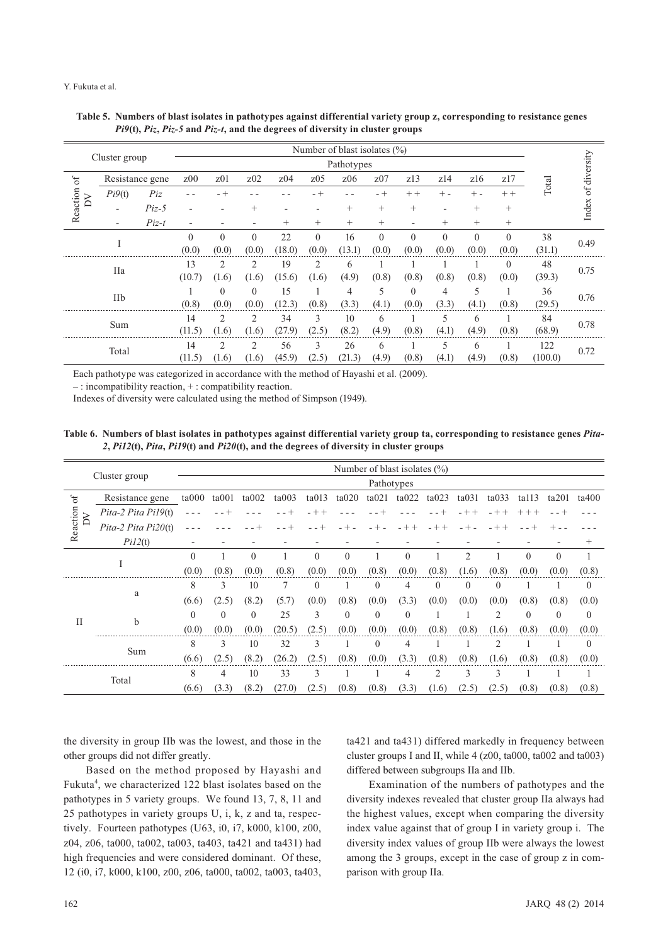#### Y. Fukuta et al.

|          |                          |                 |                          |                 |                          |                 |          | Number of blast isolates $(\% )$ |          |                          |          |          |                |         |              |
|----------|--------------------------|-----------------|--------------------------|-----------------|--------------------------|-----------------|----------|----------------------------------|----------|--------------------------|----------|----------|----------------|---------|--------------|
|          | Cluster group            |                 |                          |                 |                          |                 |          | Pathotypes                       |          |                          |          |          |                |         |              |
| $\delta$ |                          | Resistance gene | z <sub>00</sub>          | z <sub>01</sub> | z <sub>02</sub>          | z <sub>04</sub> | z05      | z06                              | z07      | z13                      | z14      | z16      | z17            | Total   | of diversity |
| $\sum$   | Pi9(t)                   | Piz             |                          | $- +$           |                          |                 | $-+$     |                                  | - +      | $++$                     | $+$      | $+$ $-$  | $++$           |         |              |
| Reaction | $\overline{a}$           | $Piz-5$         | $\overline{\phantom{0}}$ |                 | $^+$                     |                 |          | $^{+}$                           | $^{+}$   | $^{+}$                   |          | $^{+}$   | $^{+}$         |         | Index        |
|          | $\overline{\phantom{a}}$ | $Piz-t$         |                          |                 | $\overline{\phantom{a}}$ | $^{+}$          | $^{+}$   | $+$                              | $^{+}$   | $\overline{\phantom{a}}$ | $^{+}$   | $^{+}$   | $^{+}$         |         |              |
|          | T                        |                 | $\theta$                 | $\theta$        | $\mathbf{0}$             | 22              | $\theta$ | 16                               | $\theta$ | $\theta$                 | $\theta$ | $\theta$ | $\theta$       | 38      | 0.49         |
|          |                          |                 | (0.0)                    | (0.0)           | (0.0)                    | (18.0)          | (0.0)    | (13.1)                           | (0.0)    | (0.0)                    | (0.0)    | (0.0)    | (0.0)          | (31.1)  |              |
|          | IIa                      |                 | 13                       | 2               | 2                        | 19              | 2        | 6                                |          |                          |          |          | $\overline{0}$ | 48      | 0.75         |
|          |                          |                 | (10.7)                   | (1.6)           | (1.6)                    | (15.6)          | (1.6)    | (4.9)                            | (0.8)    | (0.8)                    | (0.8)    | (0.8)    | (0.0)          | (39.3)  |              |
|          | <b>IIb</b>               |                 |                          | $\theta$        | $\theta$                 | 15              |          | 4                                | 5        | $\theta$                 | 4        | 5        |                | 36      | 0.76         |
|          |                          |                 | (0.8)                    | (0.0)           | (0.0)                    | (12.3)          | (0.8)    | (3.3)                            | (4.1)    | (0.0)                    | (3.3)    | (4.1)    | (0.8)          | (29.5)  |              |
|          | Sum                      |                 | 14                       | $\overline{c}$  | 2                        | 34              | 3        | 10                               | 6        |                          | 5        | 6        |                | 84      | 0.78         |
|          |                          |                 | (11.5)                   | (1.6)           | (1.6)                    | (27.9)          | (2.5)    | (8.2)                            | (4.9)    | (0.8)                    | (4.1)    | (4.9)    | (0.8)          | (68.9)  |              |
|          | Total                    |                 | 14                       | 2               | 2                        | 56              | 3        | 26                               | 6        |                          | 5        | 6        |                | 122     | 0.72         |
|          |                          |                 | (11.5)                   | (1.6)           | (1.6)                    | (45.9)          | (2.5)    | (21.3)                           | (4.9)    | (0.8)                    | (4.1)    | (4.9)    | (0.8)          | (100.0) |              |

| Table 5. Numbers of blast isolates in pathotypes against differential variety group z, corresponding to resistance genes |
|--------------------------------------------------------------------------------------------------------------------------|
| $Pi9(t)$ , $Piz$ , $Piz$ -5 and $Piz$ -t, and the degrees of diversity in cluster groups                                 |

Each pathotype was categorized in accordance with the method of Hayashi et al. (2009).

– : incompatibility reaction, + : compatibility reaction.

Indexes of diversity were calculated using the method of Simpson (1949).

# **Table 6. Numbers of blast isolates in pathotypes against differential variety group ta, corresponding to resistance genes** *Pita-2***,** *Pi12***(t),** *Pita***,** *Pi19***(t) and** *Pi20***(t), and the degrees of diversity in cluster groups**

|          |                       |          |          |          |        |          |          |            | Number of blast isolates (%) |          |          |                |             |              |              |
|----------|-----------------------|----------|----------|----------|--------|----------|----------|------------|------------------------------|----------|----------|----------------|-------------|--------------|--------------|
|          | Cluster group         |          |          |          |        |          |          | Pathotypes |                              |          |          |                |             |              |              |
| $\sigma$ | Resistance gene       | ta000    | ta001    | ta002    | ta003  | ta013    | ta020    | ta021      | ta022                        | ta023    | ta031    | ta033          | $t$ all $3$ | ta201        | ta400        |
| $\geq$   | Pita-2 Pita Pi19(t)   |          |          |          |        |          |          |            |                              |          |          | $- +$          | $+ +$       |              |              |
| Reaction | Pita-2 Pita $Pi20(t)$ |          |          |          |        |          |          |            |                              |          |          |                |             |              |              |
|          | PiI2(t)               |          |          |          |        |          |          |            |                              |          |          |                |             |              | $^+$         |
|          |                       | $\Omega$ |          | $\theta$ |        | $\Omega$ | $\theta$ | 1          | $\theta$                     |          | 2        |                | $\theta$    | $\theta$     |              |
|          |                       | (0.0)    | (0.8)    | (0.0)    | (0.8)  | (0.0)    | (0.0)    | (0.8)      | (0.0)                        | (0.8)    | (1.6)    | (0.8)          | (0.0)       | (0.0)        | (0.8)        |
|          |                       | 8        | 3        | 10       | 7      | $\theta$ |          | $\theta$   | 4                            | $\theta$ | $\Omega$ | $\theta$       |             | 1            | $\mathbf{0}$ |
|          | a                     | (6.6)    | (2.5)    | (8.2)    | (5.7)  | (0.0)    | (0.8)    | (0.0)      | (3.3)                        | (0.0)    | (0.0)    | (0.0)          | (0.8)       | (0.8)        | (0.0)        |
| $\rm II$ |                       | $\Omega$ | $\Omega$ | $\theta$ | 25     | 3        | $\theta$ | $\theta$   | $\theta$                     |          |          | $\overline{c}$ | $\theta$    | $\mathbf{0}$ | $\mathbf{0}$ |
|          | b                     | (0.0)    | (0.0)    | (0.0)    | (20.5) | (2.5)    | (0.0)    | (0.0)      | (0.0)                        | (0.8)    | (0.8)    | (1.6)          | (0.8)       | (0.0)        | (0.0)        |
|          |                       | 8        | 3        | 10       | 32     | 3        |          | $\theta$   | 4                            |          |          | $\overline{c}$ |             |              | $\theta$     |
|          | Sum                   | (6.6)    | (2.5)    | (8.2)    | (26.2) | (2.5)    | (0.8)    | (0.0)      | (3.3)                        | (0.8)    | (0.8)    | (1.6)          | (0.8)       | (0.8)        | (0.0)        |
|          | Total                 | 8        | 4        | 10       | 33     | 3        |          |            | 4                            | 2        | 3        | 3              |             |              |              |
|          |                       | (6.6)    | (3.3)    | (8.2)    | (27.0) | (2.5)    | (0.8)    | (0.8)      | (3.3)                        | (1.6)    | (2.5)    | (2.5)          | (0.8)       | (0.8)        | (0.8)        |

the diversity in group IIb was the lowest, and those in the other groups did not differ greatly.

Based on the method proposed by Hayashi and Fukuta<sup>4</sup>, we characterized 122 blast isolates based on the pathotypes in 5 variety groups. We found 13, 7, 8, 11 and 25 pathotypes in variety groups U, i, k, z and ta, respectively. Fourteen pathotypes (U63, i0, i7, k000, k100, z00, z04, z06, ta000, ta002, ta003, ta403, ta421 and ta431) had high frequencies and were considered dominant. Of these, 12 (i0, i7, k000, k100, z00, z06, ta000, ta002, ta003, ta403, ta421 and ta431) differed markedly in frequency between cluster groups I and II, while 4 (z00, ta000, ta002 and ta003) differed between subgroups IIa and IIb.

Examination of the numbers of pathotypes and the diversity indexes revealed that cluster group IIa always had the highest values, except when comparing the diversity index value against that of group I in variety group i. The diversity index values of group IIb were always the lowest among the 3 groups, except in the case of group z in comparison with group IIa.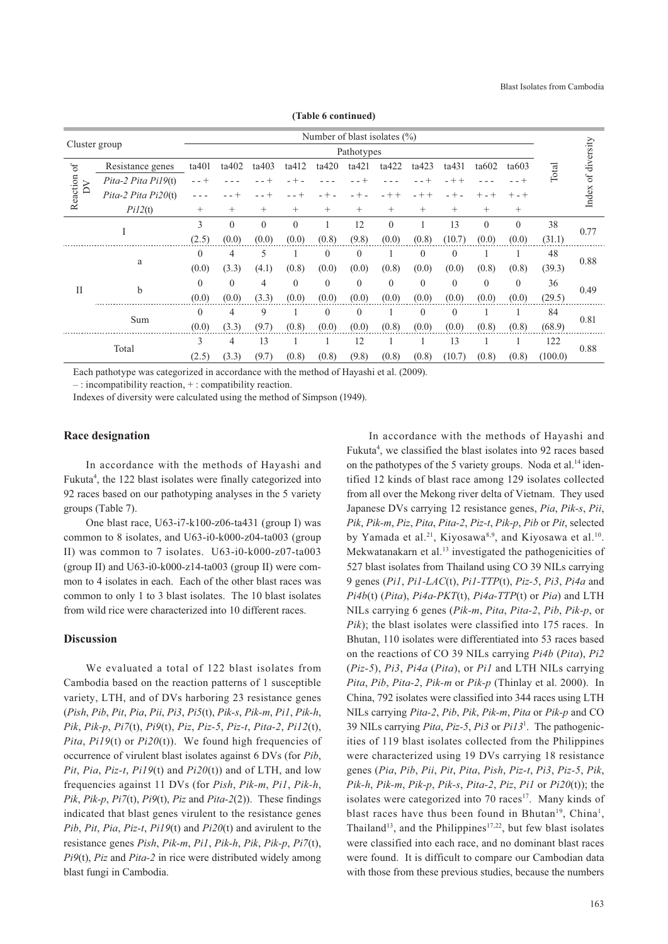|                |                       |          |          |                |          | Number of blast isolates (%) |            |          |              |              |              |          |         |              |
|----------------|-----------------------|----------|----------|----------------|----------|------------------------------|------------|----------|--------------|--------------|--------------|----------|---------|--------------|
| Cluster group  |                       |          |          |                |          |                              | Pathotypes |          |              |              |              |          |         | of diversity |
| $\mathfrak{h}$ | Resistance genes      | ta401    | ta402    | ta403          | ta412    | ta420                        | ta421      | ta422    | ta423        | ta431        | ta602        | ta603    | Total   |              |
| $\geq$         | Pita-2 Pita Pi19(t)   |          |          |                |          |                              |            |          |              | $+ +$        |              |          |         |              |
| Reaction       | Pita-2 Pita $Pi20(t)$ |          |          |                |          | $^{+}$                       |            | $+ +$    | $- + +$      | $- +$        | $+ -$        | $+ - +$  |         | Index        |
|                | Pi12(t)               | $^{+}$   | $^{+}$   | $+$            | $^{+}$   | $^{+}$                       | $^{+}$     | $^{+}$   | $^{+}$       | $^{+}$       | $^{+}$       | $+$      |         |              |
|                | I                     | 3        | $\theta$ | $\overline{0}$ | $\theta$ | 1                            | 12         | $\theta$ |              | 13           | $\mathbf{0}$ | $\theta$ | 38      | 0.77         |
|                |                       | (2.5)    | (0.0)    | (0.0)          | (0.0)    | (0.8)                        | (9.8)      | (0.0)    | (0.8)        | (10.7)       | (0.0)        | (0.0)    | (31.1)  |              |
|                |                       | $\theta$ | 4        | 5              |          | $\theta$                     | $\theta$   |          | $\theta$     | $\mathbf{0}$ |              |          | 48      | 0.88         |
|                | a                     | (0.0)    | (3.3)    | (4.1)          | (0.8)    | (0.0)                        | (0.0)      | (0.8)    | (0.0)        | (0.0)        | (0.8)        | (0.8)    | (39.3)  |              |
| $\mathbf{I}$   | b                     | $\theta$ | $\theta$ | 4              | $\theta$ | $\mathbf{0}$                 | $\theta$   | $\theta$ | $\theta$     | $\mathbf{0}$ | $\mathbf{0}$ | $\theta$ | 36      | 0.49         |
|                |                       | (0.0)    | (0.0)    | (3.3)          | (0.0)    | (0.0)                        | (0.0)      | (0.0)    | (0.0)        | (0.0)        | (0.0)        | (0.0)    | (29.5)  |              |
|                | Sum                   | $\Omega$ | 4        | 9              |          | $\theta$                     | $\theta$   |          | $\mathbf{0}$ | $\mathbf{0}$ |              |          | 84      | 0.81         |
|                |                       | (0.0)    | (3.3)    | (9.7)          | (0.8)    | (0.0)                        | (0.0)      | (0.8)    | (0.0)        | (0.0)        | (0.8)        | (0.8)    | (68.9)  |              |
|                | Total                 | 3        | 4        | 13             |          |                              | 12         |          |              | 13           |              |          | 122     | 0.88         |
|                |                       | (2.5)    | (3.3)    | (9.7)          | (0.8)    | (0.8)                        | (9.8)      | (0.8)    | (0.8)        | (10.7)       | (0.8)        | (0.8)    | (100.0) |              |

**(Table 6 continued)**

Each pathotype was categorized in accordance with the method of Hayashi et al. (2009).

– : incompatibility reaction, + : compatibility reaction.

Indexes of diversity were calculated using the method of Simpson (1949).

# **Race designation**

In accordance with the methods of Hayashi and Fukuta<sup>4</sup>, the 122 blast isolates were finally categorized into 92 races based on our pathotyping analyses in the 5 variety groups (Table 7).

One blast race, U63-i7-k100-z06-ta431 (group I) was common to 8 isolates, and U63-i0-k000-z04-ta003 (group II) was common to 7 isolates. U63-i0-k000-z07-ta003 (group II) and  $U63-i0-k000-z14-ta003$  (group II) were common to 4 isolates in each. Each of the other blast races was common to only 1 to 3 blast isolates. The 10 blast isolates from wild rice were characterized into 10 different races.

# **Discussion**

We evaluated a total of 122 blast isolates from Cambodia based on the reaction patterns of 1 susceptible variety, LTH, and of DVs harboring 23 resistance genes (*Pish*, *Pib*, *Pit*, *Pia*, *Pii*, *Pi3*, *Pi5*(t), *Pik-s*, *Pik-m*, *Pi1*, *Pik-h*, *Pik*, *Pik-p*, *Pi7*(t), *Pi9*(t), *Piz*, *Piz-5*, *Piz-t*, *Pita-2*, *Pi12*(t), *Pita*, *Pi19*(t) or *Pi20*(t)). We found high frequencies of occurrence of virulent blast isolates against 6 DVs (for *Pib*, *Pit*, *Pia*, *Piz-t*, *Pi19*(t) and *Pi20*(t)) and of LTH, and low frequencies against 11 DVs (for *Pish*, *Pik-m*, *Pi1*, *Pik-h*, *Pik*, *Pik-p*, *Pi7*(t), *Pi9*(t), *Piz* and *Pita-2*(2)). These findings indicated that blast genes virulent to the resistance genes *Pib*, *Pit*, *Pia*, *Piz-t*, *Pi19*(t) and *Pi20*(t) and avirulent to the resistance genes *Pish*, *Pik-m*, *Pi1*, *Pik-h*, *Pik*, *Pik-p*, *Pi7*(t), *Pi9*(t), *Piz* and *Pita-2* in rice were distributed widely among blast fungi in Cambodia.

In accordance with the methods of Hayashi and Fukuta<sup>4</sup>, we classified the blast isolates into 92 races based on the pathotypes of the 5 variety groups. Noda et al.<sup>14</sup> identified 12 kinds of blast race among 129 isolates collected from all over the Mekong river delta of Vietnam. They used Japanese DVs carrying 12 resistance genes, *Pia*, *Pik-s*, *Pii*, *Pik*, *Pik-m*, *Piz*, *Pita*, *Pita-2*, *Piz-t*, *Pik-p*, *Pib* or *Pit*, selected by Yamada et al.<sup>21</sup>, Kiyosawa<sup>8,9</sup>, and Kiyosawa et al.<sup>10</sup>. Mekwatanakarn et al.<sup>13</sup> investigated the pathogenicities of 527 blast isolates from Thailand using CO 39 NILs carrying 9 genes (*Pi1*, *Pi1-LAC*(t), *Pi1-TTP*(t), *Piz-5*, *Pi3*, *Pi4a* and *Pi4b*(t) (*Pita*), *Pi4a-PKT*(t), *Pi4a-TTP*(t) or *Pia*) and LTH NILs carrying 6 genes (*Pik-m*, *Pita*, *Pita-2*, *Pib*, *Pik-p*, or *Pik*); the blast isolates were classified into 175 races. In Bhutan, 110 isolates were differentiated into 53 races based on the reactions of CO 39 NILs carrying *Pi4b* (*Pita*), *Pi2* (*Piz-5*), *Pi3*, *Pi4a* (*Pita*), or *Pi1* and LTH NILs carrying *Pita*, *Pib*, *Pita-2*, *Pik-m* or *Pik-p* (Thinlay et al. 2000). In China, 792 isolates were classified into 344 races using LTH NILs carrying *Pita-2*, *Pib*, *Pik*, *Pik-m*, *Pita* or *Pik-p* and CO 39 NILs carrying *Pita*, *Piz-5*, *Pi3* or *Pi13*<sup>1</sup> . The pathogenicities of 119 blast isolates collected from the Philippines were characterized using 19 DVs carrying 18 resistance genes (*Pia*, *Pib*, *Pii*, *Pit*, *Pita*, *Pish*, *Piz-t*, *Pi3*, *Piz-5*, *Pik*, *Pik-h*, *Pik-m*, *Pik-p*, *Pik-s*, *Pita-2*, *Piz*, *Pi1* or *Pi20*(t)); the isolates were categorized into  $70$  races<sup>17</sup>. Many kinds of blast races have thus been found in Bhutan<sup>19</sup>, China<sup>1</sup>, Thailand<sup>13</sup>, and the Philippines<sup>17,22</sup>, but few blast isolates were classified into each race, and no dominant blast races were found. It is difficult to compare our Cambodian data with those from these previous studies, because the numbers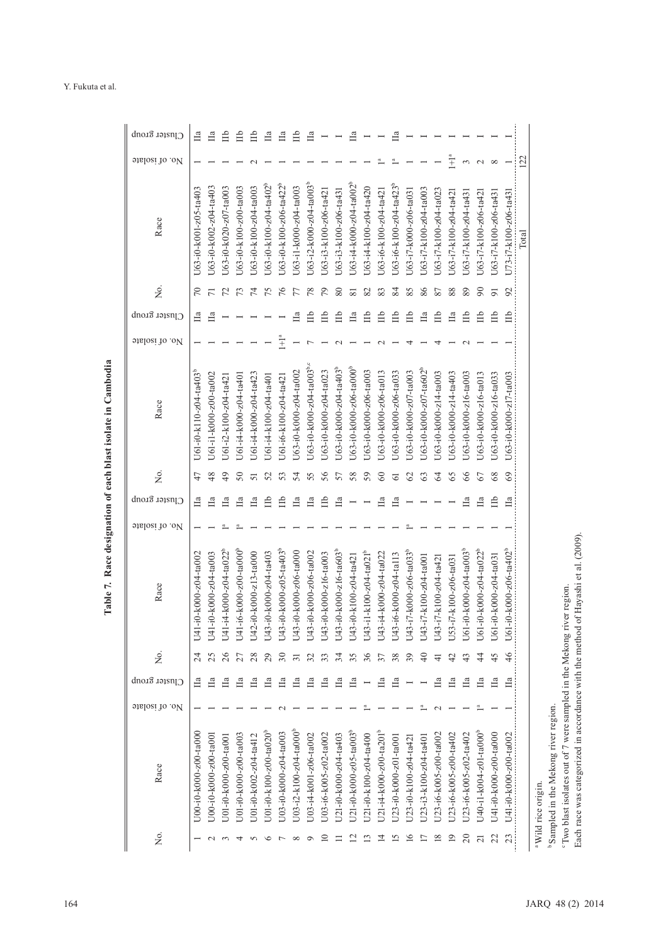| Mo. of isolate<br>Cluster group<br>bisolate of | U63-i0-k001-z05-ta403<br>$\approx$<br>Ца<br>U61-i0-k110-z04-ta403 <sup>b</sup><br>42 | U63-i0-k002-z04-ta403<br>$\overline{r}$<br>$\Box$<br>J61-i1-k000-z00-ta002<br>48 | U63-i0-k020-z07-ta003<br>52<br>U61-i2-k100-z04-ta421<br>$^{49}$ | U63-i0-k100-z00-ta003<br>73<br>J61-i4-k000-z04-ta401<br>$50\,$ | U63-i0-k100-z04-ta003<br>Ħ<br>J61-i4-k000-z04-ta423<br>51 | U63-i0-k100-z04-ta402 <sup>b</sup><br>75<br>J61-i4-k100-z04-ta401<br>52 | U63-i0-k100-z06-ta422 <sup>b</sup><br>$\frac{6}{7}$<br>$\tilde{\pm}$<br>J61-i6-k100-z04-ta421<br>53 | U63-i1-k000-z04-ta003<br>77<br>$\mathbb{H}$<br>J63-i0-k000-z04-ta002<br>54 | $U$ 63-i2-k000-z04-ta003 <sup>b</sup><br>78<br>Ê<br>$U$ 63-i0-k000-z04-ta003 <sup>b.c</sup><br>55 | U63-i3-k100-z06-ta421<br>$\mathcal{L}$<br>Ê<br>U63-i0-k000-z04-ta023<br>56 | U63-i3-k100-z06-ta431<br>80<br>Ê<br>U63-i0-k000-z04-ta403 <sup>b</sup><br>57 | U63-i4-k000-z04-ta002 <sup>b</sup><br>$\overline{81}$<br>$\Box$<br>U63-i0-k000-z06-ta000 <sup>b</sup><br>58 | U63-i4-k100-z04-ta420<br>82<br>Щb<br>J63-i0-k000-z06-ta003<br>59 | U63-i6-k100-z04-ta421<br>83<br>$\equiv$<br>U63-i0-k000-z06-ta013<br>60 | U63-i6-k100-z04-ta423 <sup>b</sup><br>84<br>Щp<br>U63-i0-k000-z06-ta033<br>$\overline{61}$ | U63-i7-k000-z06-ta031<br>85<br>Ê<br>J63-i0-k000-z07-ta003<br>62 | U63-i7-k100-z04-ta003<br>86<br>$\Box$<br>J63-i0-k000-z07-ta602 <sup>b</sup><br>63 | U63-i7-k100-z04-ta023<br>87<br>Щp<br>J63-i0-k000-z14-ta003<br>64 | $\tilde{\pm}$<br>U63-i7-k100-z04-ta421<br>88<br>Цa<br>U63-i0-k000-z14-ta403<br>65 | $\frac{1}{2}$<br>U63-i7-k100-z04-ta431<br>89<br>Ê<br>U63-i0-k000-z16-ta003<br>66 | U63-i7-k100-z06-ta421<br>$\infty$<br>Ê<br>U63-i0-k000-z16-ta013<br>67 | $\infty$<br>U63-i7-k100-z06-ta431<br>$\overline{5}$<br>Ê<br>J63-i0-k000-z16-ta033<br>68 | $\overline{\phantom{a}}$<br>U73-i7-k100-z06-ta43<br>92<br>Е<br>U63-i0-k000-z17-ta003<br>69 | 122<br>Total                   |                                                                                                                           |
|------------------------------------------------|--------------------------------------------------------------------------------------|----------------------------------------------------------------------------------|-----------------------------------------------------------------|----------------------------------------------------------------|-----------------------------------------------------------|-------------------------------------------------------------------------|-----------------------------------------------------------------------------------------------------|----------------------------------------------------------------------------|---------------------------------------------------------------------------------------------------|----------------------------------------------------------------------------|------------------------------------------------------------------------------|-------------------------------------------------------------------------------------------------------------|------------------------------------------------------------------|------------------------------------------------------------------------|--------------------------------------------------------------------------------------------|-----------------------------------------------------------------|-----------------------------------------------------------------------------------|------------------------------------------------------------------|-----------------------------------------------------------------------------------|----------------------------------------------------------------------------------|-----------------------------------------------------------------------|-----------------------------------------------------------------------------------------|--------------------------------------------------------------------------------------------|--------------------------------|---------------------------------------------------------------------------------------------------------------------------|
| Cluster group<br>bisolate of                   | $\Box$                                                                               | $\Box$                                                                           | Ца                                                              | $\Box$                                                         | $\Box$                                                    | Ê                                                                       | Ê                                                                                                   | Ца                                                                         | Цa                                                                                                | Шb                                                                         | $\Box$                                                                       |                                                                                                             |                                                                  | $\Box$                                                                 | Цa                                                                                         |                                                                 |                                                                                   |                                                                  |                                                                                   | $\Box$                                                                           | Ца                                                                    | Ê                                                                                       | $\Box$                                                                                     |                                |                                                                                                                           |
| Race                                           | $-i0-k000-z04-ta002$<br>$\overline{5}$                                               | $-i0-k000-z04-ta003$<br>$\overline{14}$                                          | $-i4-k000-z04-ta022b$<br>$\Xi$                                  | $-16 - k000 - 200 - t4000$ <sup>b</sup><br>$\overline{14}$     | 2-i0-k000-z13-ta000<br>$\vec{A}$                          | 3-i0-k000-z04-ta403<br>$\vec{A}$                                        | 3-i0-k000-z05-ta403 <sup>b</sup><br>$\Xi$                                                           | 3-i0-k000-z06-ta000<br>$\overline{A}$                                      | 3-i0-k000-z06-ta002<br>$\Xi$                                                                      | 3-i0-k000-z16-ta003<br>$\Xi$                                               | $3-i0-k000-z16-ta603b$<br>$\overline{A}$                                     | 3-i0-k100-z04-ta421<br>$\Xi$                                                                                | 3-i1-k100-z04-ta021 <sup>b</sup><br>$\Xi$                        | $3-14-k000-z04-ta022$<br>$\Xi$                                         | U43-i6-k000-z04-tal13                                                                      | $U43 - i7 - k000 - z06 - ta033$                                 | U43-i7-k100-z04-ta001                                                             | 3-i7-k100-z04-ta421<br>$\ddot{a}$                                | U53-i7-k100-z06-ta031                                                             | $U61-10-k000-204-1a003$                                                          | $-i0-k000-z04-ta022b$<br>U61                                          | $-i0-k000-z04-ta031$<br>U61                                                             | $-i0-k000-z06-ta402$<br>$\overline{5}$                                                     |                                |                                                                                                                           |
| ,<br>Ž                                         | $\overline{c}$                                                                       | 25                                                                               | 26                                                              | 27                                                             | 28                                                        | 29                                                                      | 30                                                                                                  | $\overline{31}$                                                            | 32                                                                                                | 33                                                                         | 34                                                                           | 35                                                                                                          | 36                                                               | 37                                                                     | 38                                                                                         | 39                                                              | $\overline{4}$                                                                    | $\pm$                                                            | 42                                                                                | 43                                                                               | 4                                                                     | 45                                                                                      | $\frac{4}{6}$                                                                              |                                |                                                                                                                           |
| Cluster group                                  | $\prod a$                                                                            | $\Box$                                                                           | Ца                                                              | Ца                                                             | Πа                                                        | $\Box$                                                                  | $\Box$                                                                                              | $\Box$                                                                     | Цa                                                                                                | $\prod a$                                                                  | $\Box$                                                                       | $\prod a$                                                                                                   | $\overline{\phantom{0}}$                                         | $\Box$                                                                 | Цa                                                                                         |                                                                 |                                                                                   | Ца                                                               | Цa                                                                                | $\Box$                                                                           | $\Box$                                                                | $\Box$                                                                                  | $\Box$                                                                                     |                                |                                                                                                                           |
| No. of isolate                                 |                                                                                      |                                                                                  |                                                                 |                                                                |                                                           |                                                                         |                                                                                                     |                                                                            |                                                                                                   |                                                                            |                                                                              |                                                                                                             |                                                                  |                                                                        |                                                                                            |                                                                 |                                                                                   |                                                                  |                                                                                   |                                                                                  |                                                                       |                                                                                         |                                                                                            |                                |                                                                                                                           |
| Race<br>Σò.                                    | U00-i0-k000-z00-ta000                                                                | U00-i0-k000-z00-ta001                                                            | J01-i0-k000-z00-ta001<br>3                                      | C004-00-2000-200-1200<br>4                                     | J01-i0-k002-z04-ta412<br>S                                | J01-i0-k100-z00-ta020 <sup>b</sup><br>$\circ$                           | J03-i0-k000-z04-ta003<br>$\overline{ }$                                                             | $U_{03-i2-k100-z04-ta000}$<br>${}^{\circ}$                                 | U03-i4-k001-z06-ta002<br>$\circ$                                                                  | U03-i6-k005-z02-ta002<br>$\overline{10}$                                   | U21-i0-k000-z04-ta403<br>$\Box$                                              | $U21-i0-k000-z05-ta003b$<br>$\overline{12}$                                                                 | U21-i0-k100-z04-ta400<br>$\mathbf{r}$                            | $U21-i4-k000-z00-ta201^b$<br>$\overline{4}$                            | U23-i0-k000-z01-ta001<br>$\overline{15}$                                                   | U23-i0-k100-z04-ta421<br>16                                     | U23-i3-k100-z04-ta401<br>$\overline{1}$                                           | U23-i6-k005-z00-ta002<br>$\overline{18}$                         | U23-i6-k005-z00-ta402<br>$\overline{0}$                                           | U23-i6-k005-z02-ta402<br>$\overline{c}$                                          | U40-il-k004-z01-ta000 <sup>b</sup><br>$\overline{21}$                 | U41-i0-k000-z00-ta000<br>22                                                             | U41-i0-k000-z00-ta002<br>23                                                                | <sup>a</sup> Wild rice origin. | 'Two blast isolates out of 7 were sampled in the Mekong river region.<br><sup>b</sup> Sampled in the Mekong river region. |

# Table 7. Race designation of each blast isolate in Cambodia **Table 7. Race designation of each blast isolate in Cambodia**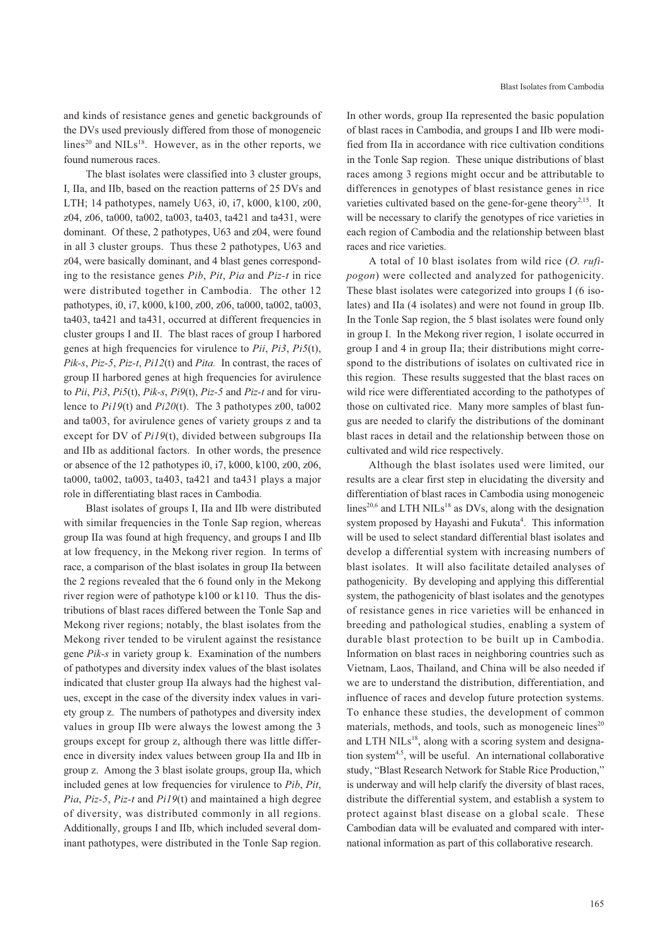and kinds of resistance genes and genetic backgrounds of the DVs used previously differed from those of monogeneic lines<sup>20</sup> and NILs<sup>18</sup>. However, as in the other reports, we found numerous races.

The blast isolates were classified into 3 cluster groups, I, IIa, and IIb, based on the reaction patterns of 25 DVs and LTH; 14 pathotypes, namely U63, i0, i7, k000, k100, z00, z04, z06, ta000, ta002, ta003, ta403, ta421 and ta431, were dominant. Of these, 2 pathotypes, U63 and z04, were found in all 3 cluster groups. Thus these 2 pathotypes, U63 and z04, were basically dominant, and 4 blast genes corresponding to the resistance genes *Pib*, *Pit*, *Pia* and *Piz-t* in rice were distributed together in Cambodia. The other 12 pathotypes, i0, i7, k000, k100, z00, z06, ta000, ta002, ta003, ta403, ta421 and ta431, occurred at different frequencies in cluster groups I and II. The blast races of group I harbored genes at high frequencies for virulence to *Pii*, *Pi3*, *Pi5*(t), *Pik-s*, *Piz-5*, *Piz-t*, *Pi12*(t) and *Pita.* In contrast, the races of group II harbored genes at high frequencies for avirulence to *Pii*, *Pi3*, *Pi5*(t), *Pik-s*, *Pi9*(t), *Piz-5* and *Piz-t* and for virulence to *Pi19*(t) and *Pi20*(t). The 3 pathotypes z00, ta002 and ta003, for avirulence genes of variety groups z and ta except for DV of *Pi19*(t), divided between subgroups IIa and IIb as additional factors. In other words, the presence or absence of the 12 pathotypes i0, i7, k000, k100, z00, z06, ta000, ta002, ta003, ta403, ta421 and ta431 plays a major role in differentiating blast races in Cambodia.

Blast isolates of groups I, IIa and IIb were distributed with similar frequencies in the Tonle Sap region, whereas group IIa was found at high frequency, and groups I and IIb at low frequency, in the Mekong river region. In terms of race, a comparison of the blast isolates in group IIa between the 2 regions revealed that the 6 found only in the Mekong river region were of pathotype k100 or k110. Thus the distributions of blast races differed between the Tonle Sap and Mekong river regions; notably, the blast isolates from the Mekong river tended to be virulent against the resistance gene *Pik-s* in variety group k. Examination of the numbers of pathotypes and diversity index values of the blast isolates indicated that cluster group IIa always had the highest values, except in the case of the diversity index values in variety group z. The numbers of pathotypes and diversity index values in group IIb were always the lowest among the 3 groups except for group z, although there was little difference in diversity index values between group IIa and IIb in group z. Among the 3 blast isolate groups, group IIa, which included genes at low frequencies for virulence to *Pib*, *Pit*, *Pia*, *Piz-5*, *Piz-t* and *Pi19*(t) and maintained a high degree of diversity, was distributed commonly in all regions. Additionally, groups I and IIb, which included several dominant pathotypes, were distributed in the Tonle Sap region.

In other words, group IIa represented the basic population of blast races in Cambodia, and groups I and IIb were modified from IIa in accordance with rice cultivation conditions in the Tonle Sap region. These unique distributions of blast races among 3 regions might occur and be attributable to differences in genotypes of blast resistance genes in rice varieties cultivated based on the gene-for-gene theory<sup>2,15</sup>. It will be necessary to clarify the genotypes of rice varieties in each region of Cambodia and the relationship between blast races and rice varieties.

A total of 10 blast isolates from wild rice (*O. rufipogon*) were collected and analyzed for pathogenicity. These blast isolates were categorized into groups I (6 isolates) and IIa (4 isolates) and were not found in group IIb. In the Tonle Sap region, the 5 blast isolates were found only in group I. In the Mekong river region, 1 isolate occurred in group I and 4 in group IIa; their distributions might correspond to the distributions of isolates on cultivated rice in this region. These results suggested that the blast races on wild rice were differentiated according to the pathotypes of those on cultivated rice. Many more samples of blast fungus are needed to clarify the distributions of the dominant blast races in detail and the relationship between those on cultivated and wild rice respectively.

Although the blast isolates used were limited, our results are a clear first step in elucidating the diversity and differentiation of blast races in Cambodia using monogeneic lines<sup>20,6</sup> and LTH NILs<sup>18</sup> as DVs, along with the designation system proposed by Hayashi and Fukuta<sup>4</sup>. This information will be used to select standard differential blast isolates and develop a differential system with increasing numbers of blast isolates. It will also facilitate detailed analyses of pathogenicity. By developing and applying this differential system, the pathogenicity of blast isolates and the genotypes of resistance genes in rice varieties will be enhanced in breeding and pathological studies, enabling a system of durable blast protection to be built up in Cambodia. Information on blast races in neighboring countries such as Vietnam, Laos, Thailand, and China will be also needed if we are to understand the distribution, differentiation, and influence of races and develop future protection systems. To enhance these studies, the development of common materials, methods, and tools, such as monogeneic lines $^{20}$ and LTH NILs $^{18}$ , along with a scoring system and designation system<sup>4,5</sup>, will be useful. An international collaborative study, "Blast Research Network for Stable Rice Production," is underway and will help clarify the diversity of blast races, distribute the differential system, and establish a system to protect against blast disease on a global scale. These Cambodian data will be evaluated and compared with international information as part of this collaborative research.